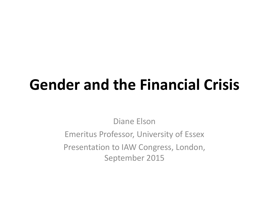# **Gender and the Financial Crisis**

Diane Elson

Emeritus Professor, University of Essex Presentation to IAW Congress, London, September 2015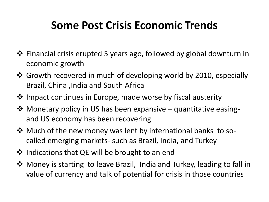#### **Some Post Crisis Economic Trends**

- Financial crisis erupted 5 years ago, followed by global downturn in economic growth
- Growth recovered in much of developing world by 2010, especially Brazil, China ,India and South Africa
- $\dots$  Impact continues in Europe, made worse by fiscal austerity
- **\*** Monetary policy in US has been expansive quantitative easingand US economy has been recovering
- ❖ Much of the new money was lent by international banks to socalled emerging markets- such as Brazil, India, and Turkey
- ❖ Indications that QE will be brought to an end
- Money is starting to leave Brazil, India and Turkey, leading to fall in value of currency and talk of potential for crisis in those countries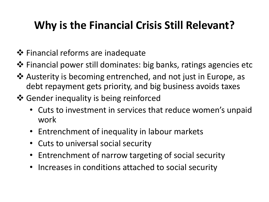### **Why is the Financial Crisis Still Relevant?**

- $\clubsuit$  Financial reforms are inadequate
- $\triangle$  Financial power still dominates: big banks, ratings agencies etc
- Austerity is becoming entrenched, and not just in Europe, as debt repayment gets priority, and big business avoids taxes
- ❖ Gender inequality is being reinforced
	- Cuts to investment in services that reduce women's unpaid work
	- Entrenchment of inequality in labour markets
	- Cuts to universal social security
	- Entrenchment of narrow targeting of social security
	- Increases in conditions attached to social security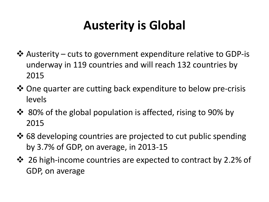### **Austerity is Global**

- $\triangle$  Austerity cuts to government expenditure relative to GDP-is underway in 119 countries and will reach 132 countries by 2015
- **\*** One quarter are cutting back expenditure to below pre-crisis levels
- ❖ 80% of the global population is affected, rising to 90% by 2015
- $\cdot$  68 developing countries are projected to cut public spending by 3.7% of GDP, on average, in 2013-15
- ❖ 26 high-income countries are expected to contract by 2.2% of GDP, on average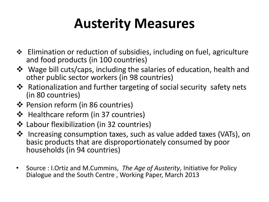## **Austerity Measures**

- $\triangle$  Elimination or reduction of subsidies, including on fuel, agriculture and food products (in 100 countries)
- Wage bill cuts/caps, including the salaries of education, health and other public sector workers (in 98 countries)
- **\*** Rationalization and further targeting of social security safety nets (in 80 countries)
- ❖ Pension reform (in 86 countries)
- ❖ Healthcare reform (in 37 countries)
- Labour flexibilization (in 32 countries)
- Increasing consumption taxes, such as value added taxes (VATs), on basic products that are disproportionately consumed by poor households (in 94 countries)
- Source : I.Ortiz and M.Cummins, *The Age of Austerity*, Initiative for Policy Dialogue and the South Centre , Working Paper, March 2013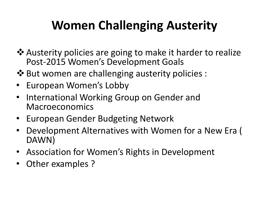### **Women Challenging Austerity**

- $\lozenge$  Austerity policies are going to make it harder to realize Post-2015 Women's Development Goals
- $\cdot$  But women are challenging austerity policies :
- European Women's Lobby
- International Working Group on Gender and Macroeconomics
- European Gender Budgeting Network
- Development Alternatives with Women for a New Era ( DAWN)
- Association for Women's Rights in Development
- Other examples ?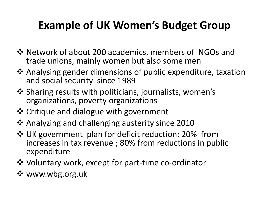#### **Example of UK Women's Budget Group**

- ❖ Network of about 200 academics, members of NGOs and trade unions, mainly women but also some men
- Analysing gender dimensions of public expenditure, taxation and social security since 1989
- $\cdot$  Sharing results with politicians, journalists, women's organizations, poverty organizations
- ❖ Critique and dialogue with government
- Analyzing and challenging austerity since 2010
- UK government plan for deficit reduction: 20% from increases in tax revenue ; 80% from reductions in public expenditure
- Voluntary work, except for part-time co-ordinator
- www.wbg.org.uk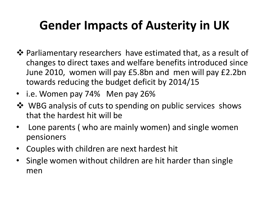### **Gender Impacts of Austerity in UK**

- $\dots$  Parliamentary researchers have estimated that, as a result of changes to direct taxes and welfare benefits introduced since June 2010, women will pay £5.8bn and men will pay £2.2bn towards reducing the budget deficit by 2014/15
- i.e. Women pay 74% Men pay 26%
- ❖ WBG analysis of cuts to spending on public services shows that the hardest hit will be
- Lone parents ( who are mainly women) and single women pensioners
- Couples with children are next hardest hit
- Single women without children are hit harder than single men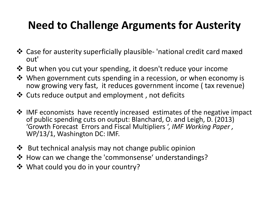### **Need to Challenge Arguments for Austerity**

- Case for austerity superficially plausible- 'national credit card maxed out'
- But when you cut your spending, it doesn't reduce your income
- When government cuts spending in a recession, or when economy is now growing very fast, it reduces government income ( tax revenue)
- Cuts reduce output and employment , not deficits
- $\lozenge$  IMF economists have recently increased estimates of the negative impact of public spending cuts on output: Blanchard, O. and Leigh, D. (2013) 'Growth Forecast Errors and Fiscal Multipliers ', *IMF Working Paper ,*  WP/13/1, Washington DC: IMF.
- $\dots$  But technical analysis may not change public opinion
- ❖ How can we change the 'commonsense' understandings?
- What could you do in your country?